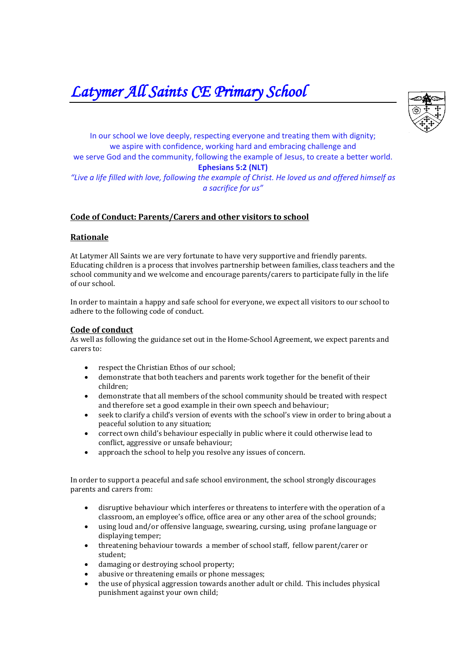*Latymer All Saints CE Primary School* 



In our school we love deeply, respecting everyone and treating them with dignity; we aspire with confidence, working hard and embracing challenge and we serve God and the community, following the example of Jesus, to create a better world. **Ephesians 5:2 (NLT)** *"Live a life filled with love, following the example of Christ. He loved us and offered himself as a sacrifice for us"*

## **Code of Conduct: Parents/Carers and other visitors to school**

## **Rationale**

At Latymer All Saints we are very fortunate to have very supportive and friendly parents. Educating children is a process that involves partnership between families, class teachers and the school community and we welcome and encourage parents/carers to participate fully in the life of our school.

In order to maintain a happy and safe school for everyone, we expect all visitors to our school to adhere to the following code of conduct.

## **Code of conduct**

As well as following the guidance set out in the Home-School Agreement, we expect parents and carers to:

- respect the Christian Ethos of our school;
- demonstrate that both teachers and parents work together for the benefit of their children;
- demonstrate that all members of the school community should be treated with respect and therefore set a good example in their own speech and behaviour;
- seek to clarify a child's version of events with the school's view in order to bring about a peaceful solution to any situation;
- correct own child's behaviour especially in public where it could otherwise lead to conflict, aggressive or unsafe behaviour;
- approach the school to help you resolve any issues of concern.

In order to support a peaceful and safe school environment, the school strongly discourages parents and carers from:

- disruptive behaviour which interferes or threatens to interfere with the operation of a classroom, an employee's office, office area or any other area of the school grounds;
- using loud and/or offensive language, swearing, cursing, using profane language or displaying temper;
- threatening behaviour towards a member of school staff, fellow parent/carer or student;
- damaging or destroying school property;
- abusive or threatening emails or phone messages;
- the use of physical aggression towards another adult or child. This includes physical punishment against your own child;